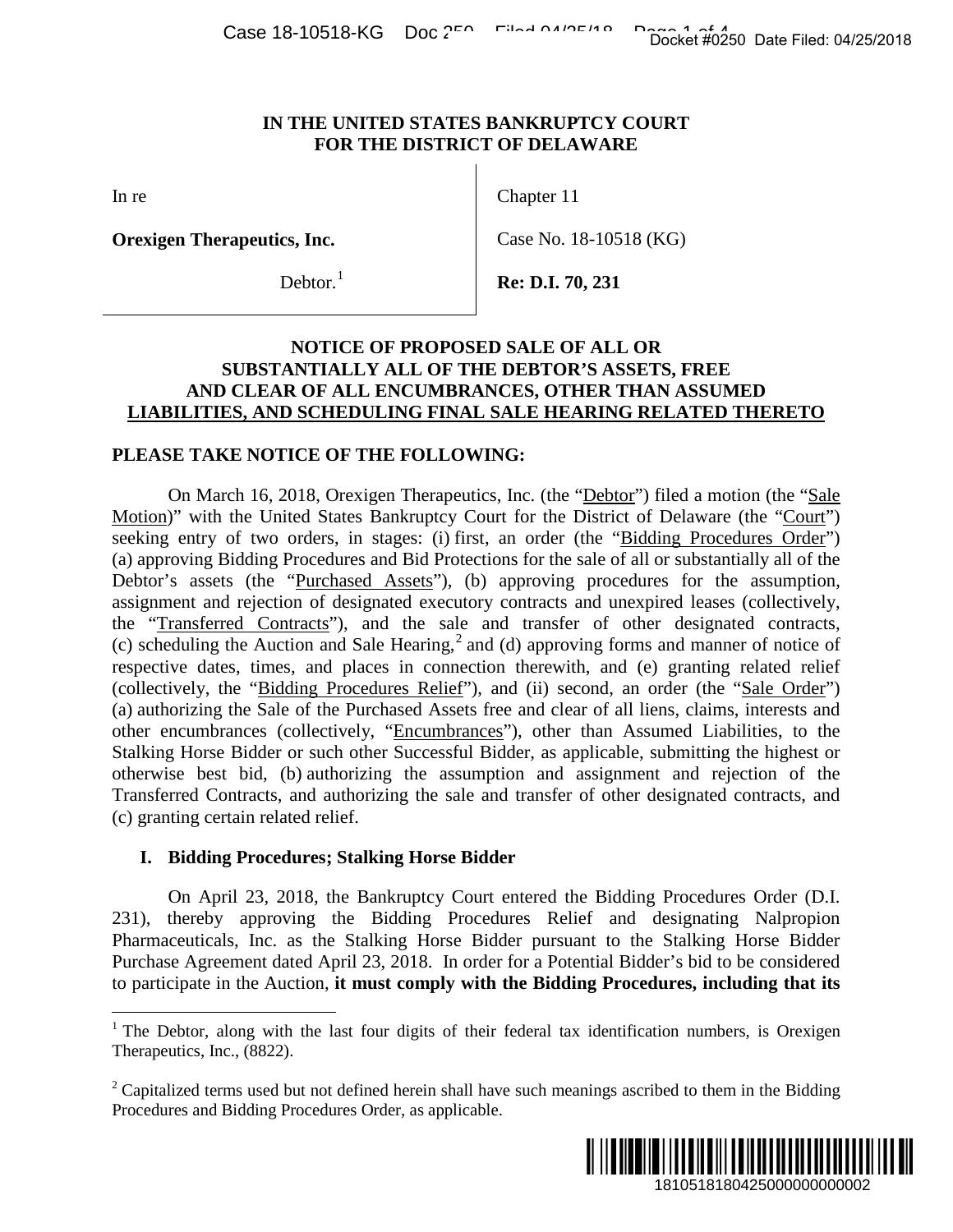Case 18-10518-KG Doc  $250$  Filed 04/25/2018

#### **IN THE UNITED STATES BANKRUPTCY COURT FOR THE DISTRICT OF DELAWARE**

In re

**Orexigen Therapeutics, Inc.**

Debtor. $<sup>1</sup>$  $<sup>1</sup>$  $<sup>1</sup>$ </sup>

Chapter 11

Case No. 18-10518 (KG)

**Re: D.I. 70, 231**

# **NOTICE OF PROPOSED SALE OF ALL OR SUBSTANTIALLY ALL OF THE DEBTOR'S ASSETS, FREE AND CLEAR OF ALL ENCUMBRANCES, OTHER THAN ASSUMED LIABILITIES, AND SCHEDULING FINAL SALE HEARING RELATED THERETO**

## **PLEASE TAKE NOTICE OF THE FOLLOWING:**

On March 16, 2018, Orexigen Therapeutics, Inc. (the "Debtor") filed a motion (the "Sale Motion)" with the United States Bankruptcy Court for the District of Delaware (the "Court") seeking entry of two orders, in stages: (i) first, an order (the "Bidding Procedures Order") (a) approving Bidding Procedures and Bid Protections for the sale of all or substantially all of the Debtor's assets (the "Purchased Assets"), (b) approving procedures for the assumption, assignment and rejection of designated executory contracts and unexpired leases (collectively, the "Transferred Contracts"), and the sale and transfer of other designated contracts, (c) scheduling the Auction and Sale Hearing,[2](#page-0-1) and (d) approving forms and manner of notice of respective dates, times, and places in connection therewith, and (e) granting related relief (collectively, the "Bidding Procedures Relief"), and (ii) second, an order (the "Sale Order") (a) authorizing the Sale of the Purchased Assets free and clear of all liens, claims, interests and other encumbrances (collectively, "Encumbrances"), other than Assumed Liabilities, to the Stalking Horse Bidder or such other Successful Bidder, as applicable, submitting the highest or otherwise best bid, (b) authorizing the assumption and assignment and rejection of the Transferred Contracts, and authorizing the sale and transfer of other designated contracts, and (c) granting certain related relief. Docket #0250 Date Filed: 04/25/2018<br> **IRTS, FREE**<br> **IRTS, FREE**<br> **IRTS, FREE**<br> **IRTS, FREE**<br> **IRTS, FREE**<br> **INTS, FREE**<br> **INTS, FREE**<br> **INTS, Procedures Order''**<br>
The filed a motion (the "<u>Sale</u><br>
Delaware (the "Court")<br>
o

### **I. Bidding Procedures; Stalking Horse Bidder**

On April 23, 2018, the Bankruptcy Court entered the Bidding Procedures Order (D.I. 231), thereby approving the Bidding Procedures Relief and designating Nalpropion Pharmaceuticals, Inc. as the Stalking Horse Bidder pursuant to the Stalking Horse Bidder Purchase Agreement dated April 23, 2018. In order for a Potential Bidder's bid to be considered to participate in the Auction, **it must comply with the Bidding Procedures, including that its** 

<span id="page-0-1"></span> $2$  Capitalized terms used but not defined herein shall have such meanings ascribed to them in the Bidding Procedures and Bidding Procedures Order, as applicable.



<span id="page-0-0"></span><sup>&</sup>lt;sup>1</sup> The Debtor, along with the last four digits of their federal tax identification numbers, is Orexigen Therapeutics, Inc., (8822).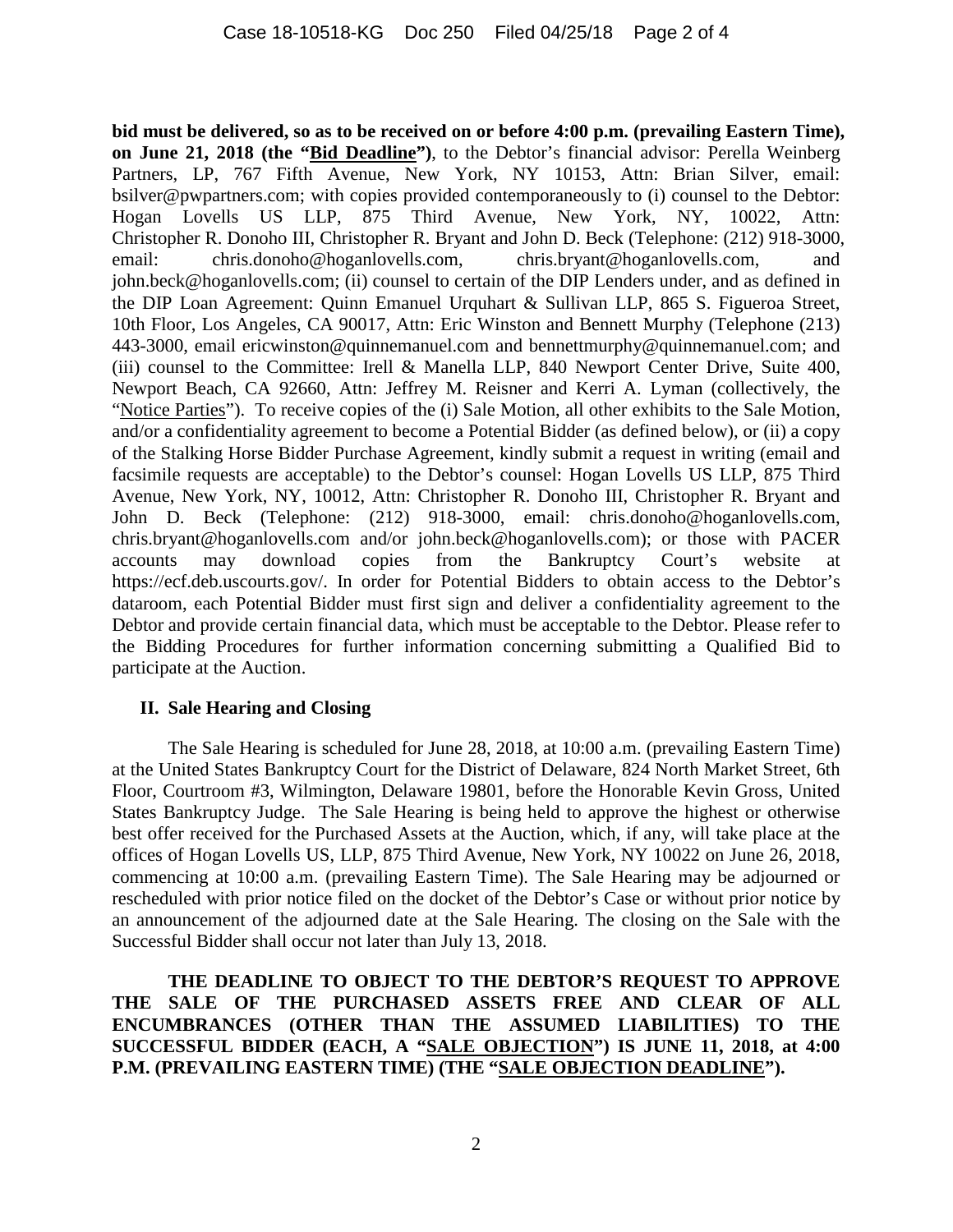**bid must be delivered, so as to be received on or before 4:00 p.m. (prevailing Eastern Time), on June 21, 2018 (the "Bid Deadline")**, to the Debtor's financial advisor: Perella Weinberg Partners, LP, 767 Fifth Avenue, New York, NY 10153, Attn: Brian Silver, email: [bsilver@pwpartners.com;](mailto:bsilver@pwpartners.com) with copies provided contemporaneously to (i) counsel to the Debtor: Hogan Lovells US LLP, 875 Third Avenue, New York, NY, 10022, Attn: Christopher R. Donoho III, Christopher R. Bryant and John D. Beck (Telephone: (212) 918-3000, email: [chris.donoho@hoganlovells.com,](mailto:chris.donoho@hoganlovells.com) [chris.bryant@hoganlovells.com,](mailto:christopher.bryant@hoganlovells.com) and [john.beck@hoganlovells.com;](mailto:john.beck@hoganlovells.com) (ii) counsel to certain of the DIP Lenders under, and as defined in the DIP Loan Agreement: Quinn Emanuel Urquhart & Sullivan LLP, 865 S. Figueroa Street, 10th Floor, Los Angeles, CA 90017, Attn: Eric Winston and Bennett Murphy (Telephone (213) 443-3000, email [ericwinston@quinnemanuel.com](mailto:ericwinston@quinnemanuel.com) and [bennettmurphy@quinnemanuel.com;](mailto:bennettmurphy@quinnemanuel.com) and (iii) counsel to the Committee: Irell & Manella LLP, 840 Newport Center Drive, Suite 400, Newport Beach, CA 92660, Attn: Jeffrey M. Reisner and Kerri A. Lyman (collectively, the "Notice Parties"). To receive copies of the (i) Sale Motion, all other exhibits to the Sale Motion, and/or a confidentiality agreement to become a Potential Bidder (as defined below), or (ii) a copy of the Stalking Horse Bidder Purchase Agreement, kindly submit a request in writing (email and facsimile requests are acceptable) to the Debtor's counsel: Hogan Lovells US LLP, 875 Third Avenue, New York, NY, 10012, Attn: Christopher R. Donoho III, Christopher R. Bryant and John D. Beck (Telephone: (212) 918-3000, email: [chris.donoho@hoganlovells.com,](mailto:chris.donoho@hoganlovells.com) [chris.bryant@hoganlovells.com](mailto:christopher.bryant@hoganlovells.com) and/or [john.beck@hoganlovells.com\)](mailto:john.beck@hoganlovells.com); or those with PACER accounts may download copies from the Bankruptcy Court's website at https://ecf.deb.uscourts.gov/. In order for Potential Bidders to obtain access to the Debtor's dataroom, each Potential Bidder must first sign and deliver a confidentiality agreement to the Debtor and provide certain financial data, which must be acceptable to the Debtor. Please refer to the Bidding Procedures for further information concerning submitting a Qualified Bid to participate at the Auction.

# **II. Sale Hearing and Closing**

The Sale Hearing is scheduled for June 28, 2018, at 10:00 a.m. (prevailing Eastern Time) at the United States Bankruptcy Court for the District of Delaware, 824 North Market Street, 6th Floor, Courtroom #3, Wilmington, Delaware 19801, before the Honorable Kevin Gross, United States Bankruptcy Judge. The Sale Hearing is being held to approve the highest or otherwise best offer received for the Purchased Assets at the Auction, which, if any, will take place at the offices of Hogan Lovells US, LLP, 875 Third Avenue, New York, NY 10022 on June 26, 2018, commencing at 10:00 a.m. (prevailing Eastern Time). The Sale Hearing may be adjourned or rescheduled with prior notice filed on the docket of the Debtor's Case or without prior notice by an announcement of the adjourned date at the Sale Hearing. The closing on the Sale with the Successful Bidder shall occur not later than July 13, 2018.

**THE DEADLINE TO OBJECT TO THE DEBTOR'S REQUEST TO APPROVE THE SALE OF THE PURCHASED ASSETS FREE AND CLEAR OF ALL ENCUMBRANCES (OTHER THAN THE ASSUMED LIABILITIES) TO THE SUCCESSFUL BIDDER (EACH, A "SALE OBJECTION") IS JUNE 11, 2018, at 4:00 P.M. (PREVAILING EASTERN TIME) (THE "SALE OBJECTION DEADLINE").**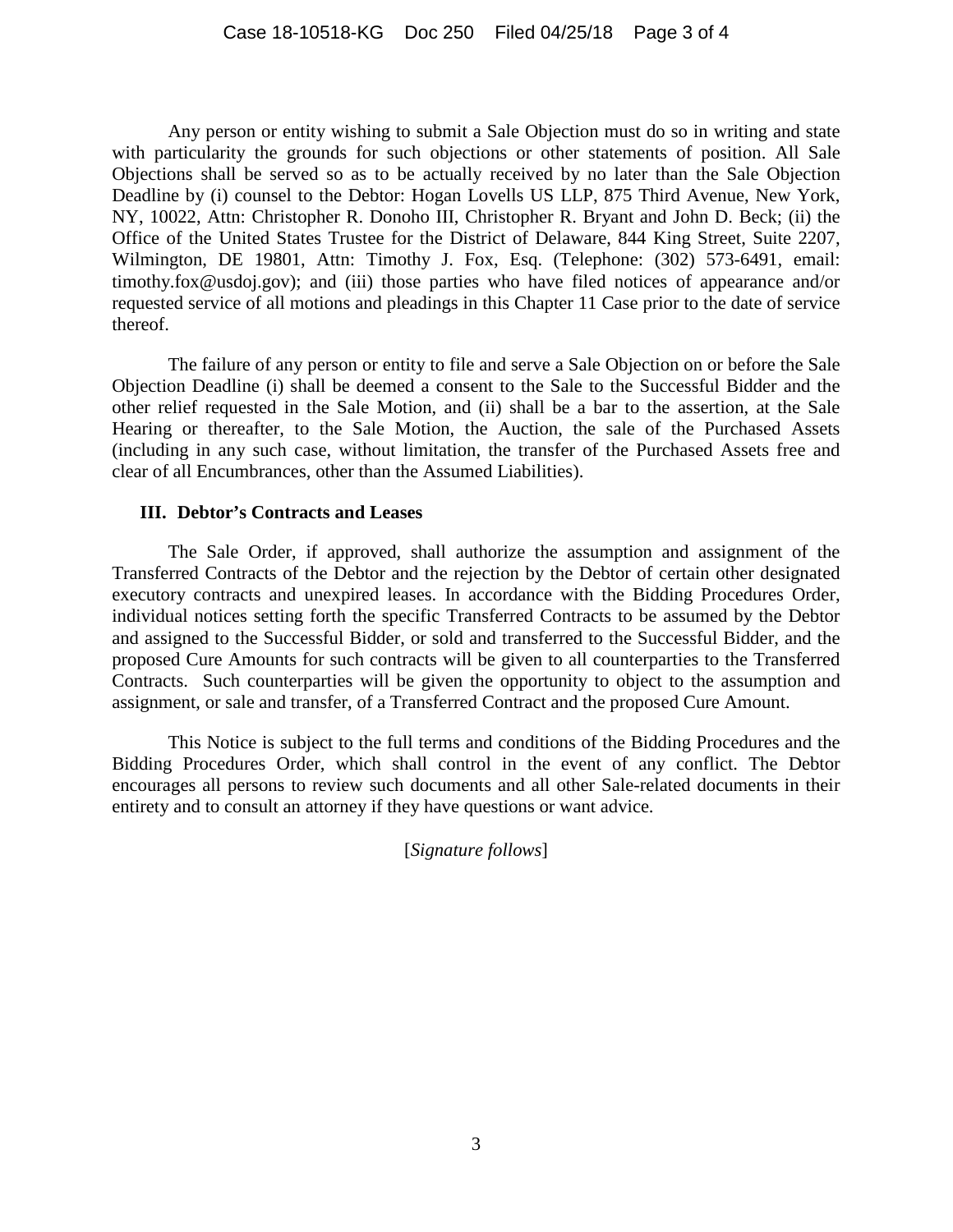Any person or entity wishing to submit a Sale Objection must do so in writing and state with particularity the grounds for such objections or other statements of position. All Sale Objections shall be served so as to be actually received by no later than the Sale Objection Deadline by (i) counsel to the Debtor: Hogan Lovells US LLP, 875 Third Avenue, New York, NY, 10022, Attn: Christopher R. Donoho III, Christopher R. Bryant and John D. Beck; (ii) the Office of the United States Trustee for the District of Delaware, 844 King Street, Suite 2207, Wilmington, DE 19801, Attn: Timothy J. Fox, Esq. (Telephone: (302) 573-6491, email: timothy.fox@usdoj.gov); and (iii) those parties who have filed notices of appearance and/or requested service of all motions and pleadings in this Chapter 11 Case prior to the date of service thereof.

The failure of any person or entity to file and serve a Sale Objection on or before the Sale Objection Deadline (i) shall be deemed a consent to the Sale to the Successful Bidder and the other relief requested in the Sale Motion, and (ii) shall be a bar to the assertion, at the Sale Hearing or thereafter, to the Sale Motion, the Auction, the sale of the Purchased Assets (including in any such case, without limitation, the transfer of the Purchased Assets free and clear of all Encumbrances, other than the Assumed Liabilities).

### **III. Debtor's Contracts and Leases**

The Sale Order, if approved, shall authorize the assumption and assignment of the Transferred Contracts of the Debtor and the rejection by the Debtor of certain other designated executory contracts and unexpired leases. In accordance with the Bidding Procedures Order, individual notices setting forth the specific Transferred Contracts to be assumed by the Debtor and assigned to the Successful Bidder, or sold and transferred to the Successful Bidder, and the proposed Cure Amounts for such contracts will be given to all counterparties to the Transferred Contracts. Such counterparties will be given the opportunity to object to the assumption and assignment, or sale and transfer, of a Transferred Contract and the proposed Cure Amount.

This Notice is subject to the full terms and conditions of the Bidding Procedures and the Bidding Procedures Order, which shall control in the event of any conflict. The Debtor encourages all persons to review such documents and all other Sale-related documents in their entirety and to consult an attorney if they have questions or want advice.

[*Signature follows*]